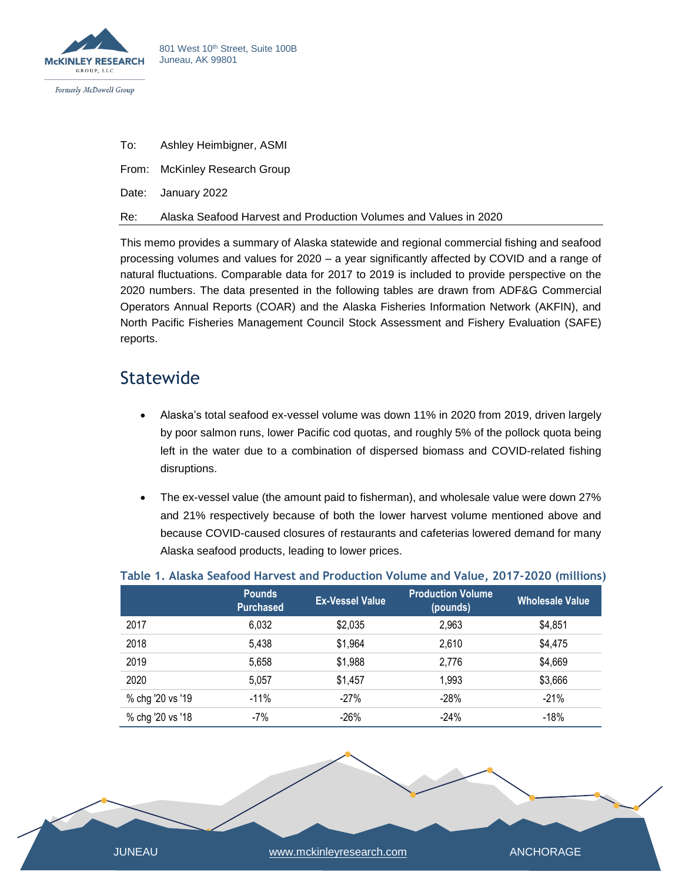

| To: I | Ashley Heimbigner, ASMI                                          |
|-------|------------------------------------------------------------------|
|       | From: McKinley Research Group                                    |
|       | Date: January 2022                                               |
| Re:   | Alaska Seafood Harvest and Production Volumes and Values in 2020 |

This memo provides a summary of Alaska statewide and regional commercial fishing and seafood processing volumes and values for 2020 – a year significantly affected by COVID and a range of natural fluctuations. Comparable data for 2017 to 2019 is included to provide perspective on the 2020 numbers. The data presented in the following tables are drawn from ADF&G Commercial Operators Annual Reports (COAR) and the Alaska Fisheries Information Network (AKFIN), and North Pacific Fisheries Management Council Stock Assessment and Fishery Evaluation (SAFE) reports.

## Statewide

- Alaska's total seafood ex-vessel volume was down 11% in 2020 from 2019, driven largely by poor salmon runs, lower Pacific cod quotas, and roughly 5% of the pollock quota being left in the water due to a combination of dispersed biomass and COVID-related fishing disruptions.
- The ex-vessel value (the amount paid to fisherman), and wholesale value were down 27% and 21% respectively because of both the lower harvest volume mentioned above and because COVID-caused closures of restaurants and cafeterias lowered demand for many Alaska seafood products, leading to lower prices.

|                  | <b>Pounds</b><br><b>Purchased</b> | <b>Ex-Vessel Value</b> | <b>Production Volume</b><br>(pounds) | <b>Wholesale Value</b> |
|------------------|-----------------------------------|------------------------|--------------------------------------|------------------------|
| 2017             | 6,032                             | \$2,035                | 2,963                                | \$4,851                |
| 2018             | 5,438                             | \$1,964                | 2,610                                | \$4,475                |
| 2019             | 5,658                             | \$1,988                | 2,776                                | \$4,669                |
| 2020             | 5.057                             | \$1,457                | 1,993                                | \$3,666                |
| % chg '20 vs '19 | -11%                              | $-27%$                 | $-28%$                               | $-21%$                 |
| % chg '20 vs '18 | $-7%$                             | $-26%$                 | $-24%$                               | $-18%$                 |

#### **Table 1. Alaska Seafood Harvest and Production Volume and Value, 2017-2020 (millions)**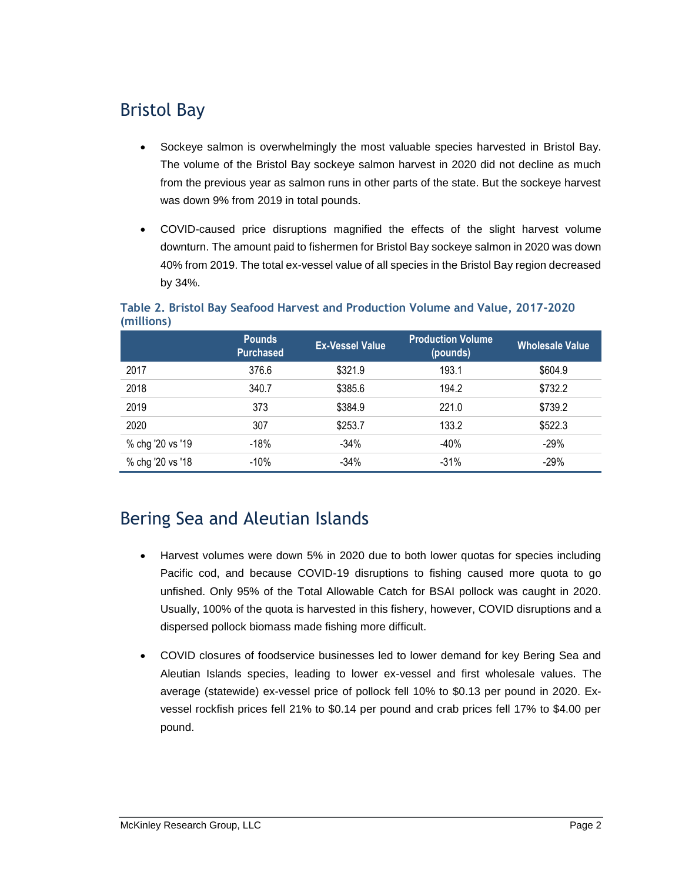# Bristol Bay

- Sockeye salmon is overwhelmingly the most valuable species harvested in Bristol Bay. The volume of the Bristol Bay sockeye salmon harvest in 2020 did not decline as much from the previous year as salmon runs in other parts of the state. But the sockeye harvest was down 9% from 2019 in total pounds.
- COVID-caused price disruptions magnified the effects of the slight harvest volume downturn. The amount paid to fishermen for Bristol Bay sockeye salmon in 2020 was down 40% from 2019. The total ex-vessel value of all species in the Bristol Bay region decreased by 34%.

|                  | <b>Pounds</b><br><b>Purchased</b> | <b>Ex-Vessel Value</b> | <b>Production Volume</b><br>(pounds) | <b>Wholesale Value</b> |
|------------------|-----------------------------------|------------------------|--------------------------------------|------------------------|
| 2017             | 376.6                             | \$321.9                | 193.1                                | \$604.9                |
| 2018             | 340.7                             | \$385.6                | 194.2                                | \$732.2                |
| 2019             | 373                               | \$384.9                | 221.0                                | \$739.2                |
| 2020             | 307                               | \$253.7                | 133.2                                | \$522.3                |
| % chg '20 vs '19 | -18%                              | $-34%$                 | -40%                                 | $-29%$                 |
| % chg '20 vs '18 | $-10%$                            | $-34%$                 | $-31%$                               | $-29%$                 |

### **Table 2. Bristol Bay Seafood Harvest and Production Volume and Value, 2017-2020 (millions)**

# Bering Sea and Aleutian Islands

- Harvest volumes were down 5% in 2020 due to both lower quotas for species including Pacific cod, and because COVID-19 disruptions to fishing caused more quota to go unfished. Only 95% of the Total Allowable Catch for BSAI pollock was caught in 2020. Usually, 100% of the quota is harvested in this fishery, however, COVID disruptions and a dispersed pollock biomass made fishing more difficult.
- COVID closures of foodservice businesses led to lower demand for key Bering Sea and Aleutian Islands species, leading to lower ex-vessel and first wholesale values. The average (statewide) ex-vessel price of pollock fell 10% to \$0.13 per pound in 2020. Exvessel rockfish prices fell 21% to \$0.14 per pound and crab prices fell 17% to \$4.00 per pound.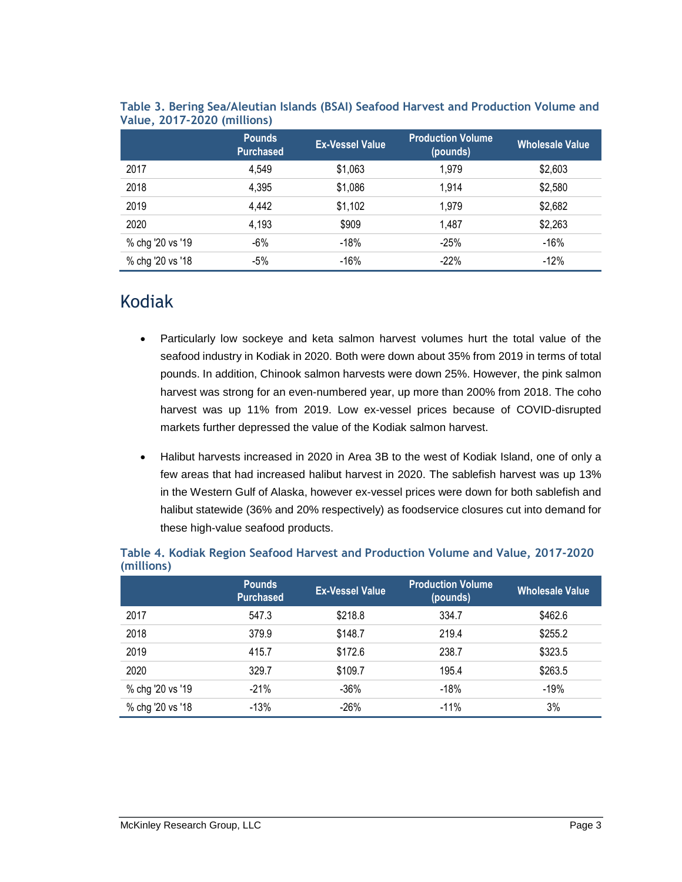|                  | <b>Pounds</b><br><b>Purchased</b> | <b>Ex-Vessel Value</b> | <b>Production Volume</b><br>(pounds) | <b>Wholesale Value</b> |
|------------------|-----------------------------------|------------------------|--------------------------------------|------------------------|
| 2017             | 4,549                             | \$1,063                | 1,979                                | \$2,603                |
| 2018             | 4,395                             | \$1,086                | 1.914                                | \$2,580                |
| 2019             | 4,442                             | \$1,102                | 1.979                                | \$2,682                |
| 2020             | 4,193                             | \$909                  | 1.487                                | \$2,263                |
| % chg '20 vs '19 | $-6%$                             | $-18%$                 | $-25%$                               | $-16%$                 |
| % chg '20 vs '18 | $-5%$                             | $-16%$                 | $-22%$                               | $-12%$                 |

### **Table 3. Bering Sea/Aleutian Islands (BSAI) Seafood Harvest and Production Volume and Value, 2017-2020 (millions)**

# Kodiak

- Particularly low sockeye and keta salmon harvest volumes hurt the total value of the seafood industry in Kodiak in 2020. Both were down about 35% from 2019 in terms of total pounds. In addition, Chinook salmon harvests were down 25%. However, the pink salmon harvest was strong for an even-numbered year, up more than 200% from 2018. The coho harvest was up 11% from 2019. Low ex-vessel prices because of COVID-disrupted markets further depressed the value of the Kodiak salmon harvest.
- Halibut harvests increased in 2020 in Area 3B to the west of Kodiak Island, one of only a few areas that had increased halibut harvest in 2020. The sablefish harvest was up 13% in the Western Gulf of Alaska, however ex-vessel prices were down for both sablefish and halibut statewide (36% and 20% respectively) as foodservice closures cut into demand for these high-value seafood products.

|                  | <b>Pounds</b><br><b>Purchased</b> | <b>Ex-Vessel Value</b> | <b>Production Volume</b><br>(pounds) | <b>Wholesale Value</b> |
|------------------|-----------------------------------|------------------------|--------------------------------------|------------------------|
| 2017             | 547.3                             | \$218.8                | 334.7                                | \$462.6                |
| 2018             | 379.9                             | \$148.7                | 219.4                                | \$255.2                |
| 2019             | 415.7                             | \$172.6                | 238.7                                | \$323.5                |
| 2020             | 329.7                             | \$109.7                | 195.4                                | \$263.5                |
| % chg '20 vs '19 | $-21%$                            | $-36%$                 | $-18%$                               | $-19%$                 |
| % chg '20 vs '18 | $-13%$                            | $-26%$                 | $-11%$                               | 3%                     |

#### **Table 4. Kodiak Region Seafood Harvest and Production Volume and Value, 2017-2020 (millions)**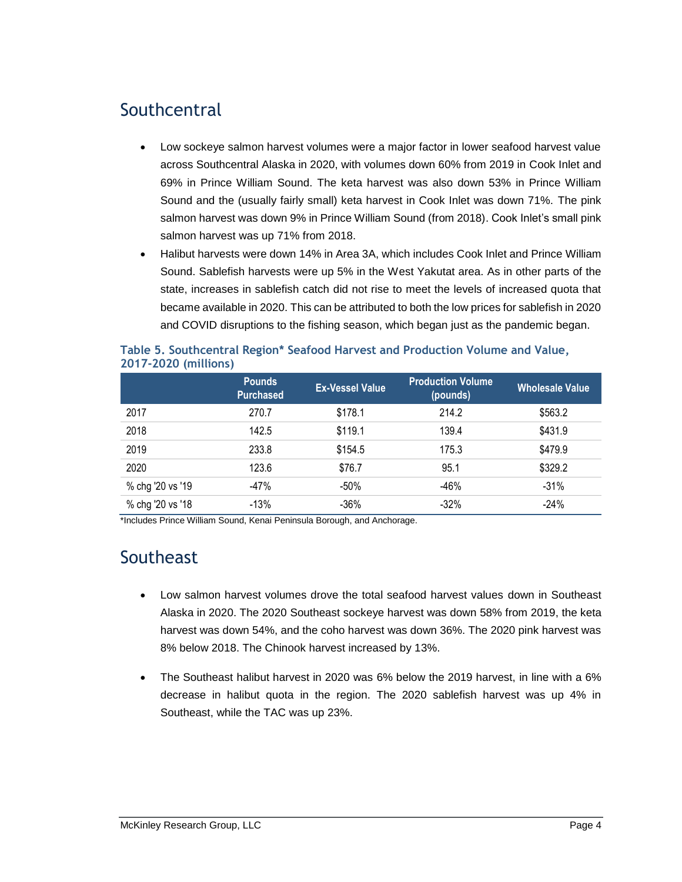# **Southcentral**

- Low sockeye salmon harvest volumes were a major factor in lower seafood harvest value across Southcentral Alaska in 2020, with volumes down 60% from 2019 in Cook Inlet and 69% in Prince William Sound. The keta harvest was also down 53% in Prince William Sound and the (usually fairly small) keta harvest in Cook Inlet was down 71%. The pink salmon harvest was down 9% in Prince William Sound (from 2018). Cook Inlet's small pink salmon harvest was up 71% from 2018.
- Halibut harvests were down 14% in Area 3A, which includes Cook Inlet and Prince William Sound. Sablefish harvests were up 5% in the West Yakutat area. As in other parts of the state, increases in sablefish catch did not rise to meet the levels of increased quota that became available in 2020. This can be attributed to both the low prices for sablefish in 2020 and COVID disruptions to the fishing season, which began just as the pandemic began.

|                  | <b>Pounds</b><br><b>Purchased</b> | <b>Ex-Vessel Value</b> | <b>Production Volume</b><br>(pounds) | <b>Wholesale Value</b> |
|------------------|-----------------------------------|------------------------|--------------------------------------|------------------------|
| 2017             | 270.7                             | \$178.1                | 214.2                                | \$563.2                |
| 2018             | 142.5                             | \$119.1                | 139.4                                | \$431.9                |
| 2019             | 233.8                             | \$154.5                | 175.3                                | \$479.9                |
| 2020             | 123.6                             | \$76.7                 | 95.1                                 | \$329.2                |
| % chg '20 vs '19 | -47%                              | $-50%$                 | -46%                                 | $-31%$                 |
| % chg '20 vs '18 | $-13%$                            | $-36%$                 | $-32%$                               | $-24%$                 |

### **Table 5. Southcentral Region\* Seafood Harvest and Production Volume and Value, 2017-2020 (millions)**

\*Includes Prince William Sound, Kenai Peninsula Borough, and Anchorage.

# Southeast

- Low salmon harvest volumes drove the total seafood harvest values down in Southeast Alaska in 2020. The 2020 Southeast sockeye harvest was down 58% from 2019, the keta harvest was down 54%, and the coho harvest was down 36%. The 2020 pink harvest was 8% below 2018. The Chinook harvest increased by 13%.
- The Southeast halibut harvest in 2020 was 6% below the 2019 harvest, in line with a 6% decrease in halibut quota in the region. The 2020 sablefish harvest was up 4% in Southeast, while the TAC was up 23%.